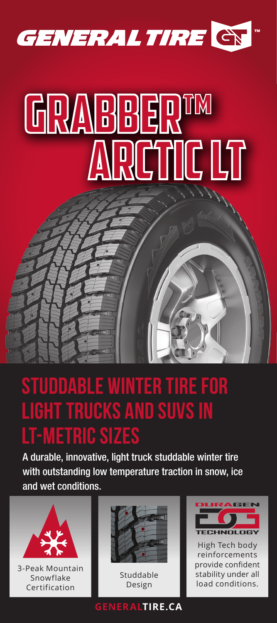

# ARCTIC LT GRABBER<sup>TM</sup>

#### Studdable winter tire for light trucks and SUVs in **EMETRIC SIZES**

A durable, innovative, light truck studdable winter tire with outstanding low temperature traction in snow, ice and wet conditions.



3-Peak Mountain Snowflake Certification



Studdable Design

### **HNOLOGY**

High Tech body reinforcements provide confident stability under all load conditions.

#### **GENERALTIRE.CA**